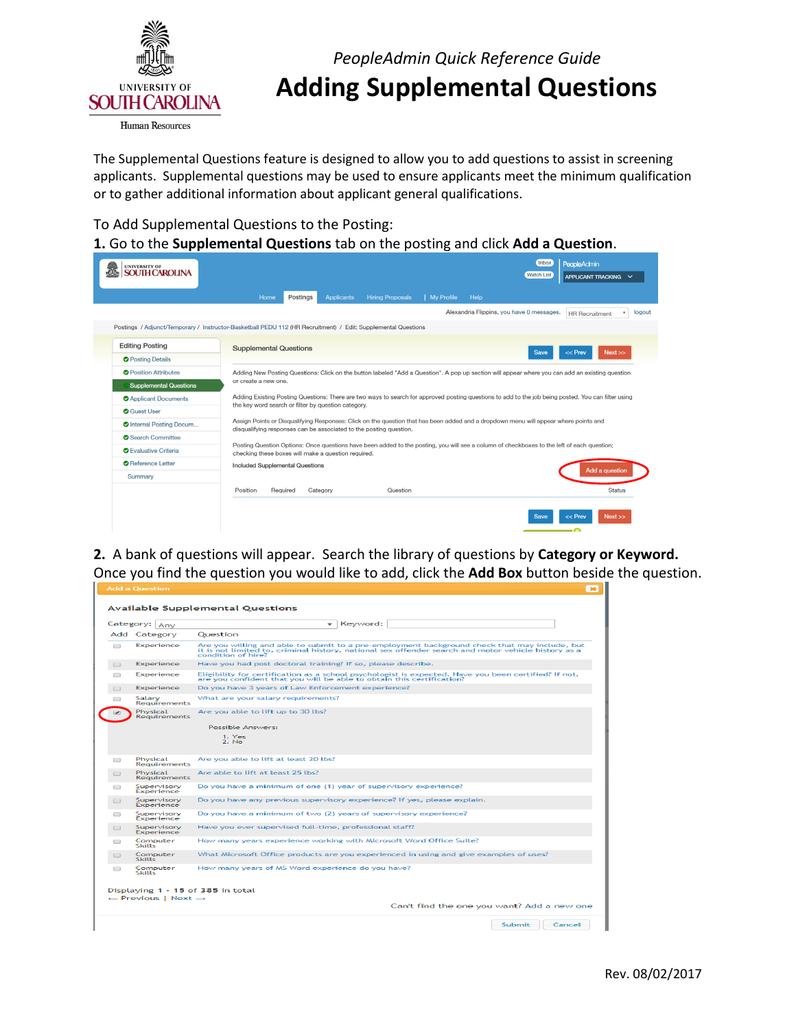

*PeopleAdmin Quick Reference Guide*  **Adding Supplemental Questions** 

 The Supplemental Questions feature is designed to allow you to add questions to assist in screening applicants. Supplemental questions may be used to ensure applicants meet the minimum qualification

## or to gather additional information about applicant general qualifications.<br>To Add Supplemental Questions to the Posting: To Add Supplemental Questions to the Posting:

**1.** Go to the **Supplemental Questions** tab on the posting and click **Add a Question**.

| <b>UNIVERSITY OF</b><br><b>AROLINA</b> |                                                                                                                                                                                                            | Inbox<br><b>PeopleAdmin</b><br><b>Watch List</b> |
|----------------------------------------|------------------------------------------------------------------------------------------------------------------------------------------------------------------------------------------------------------|--------------------------------------------------|
|                                        |                                                                                                                                                                                                            | APPLICANT TRACKING V                             |
|                                        | <b>Postings</b><br><b>Hiring Proposals</b><br>Help<br>Home<br><b>Applicants</b><br><b>My Profile</b>                                                                                                       |                                                  |
|                                        | Alexandria Flippins, you have 0 messages.                                                                                                                                                                  | logout<br><b>HR</b> Recruitment                  |
|                                        | Postings / Adjunct/Temporary / Instructor-Basketball PEDU 112 (HR Recruitment) / Edit: Supplemental Questions                                                                                              |                                                  |
| <b>Editing Posting</b>                 |                                                                                                                                                                                                            |                                                  |
| <b>O</b> Posting Details               | <b>Supplemental Questions</b>                                                                                                                                                                              | Next<br>$<<$ Prev<br><b>Save</b>                 |
| <b>O</b> Position Attributes           | Adding New Posting Questions: Click on the button labeled "Add a Question". A pop up section will appear where you can add an existing question                                                            |                                                  |
| <b>Supplemental Questions</b>          | or create a new one.                                                                                                                                                                                       |                                                  |
| <b>O</b> Applicant Documents           | Adding Existing Posting Questions: There are two ways to search for approved posting questions to add to the job being posted. You can filter using                                                        |                                                  |
| <b>O</b> Guest User                    | the key word search or filter by question category.                                                                                                                                                        |                                                  |
| <b>O</b> Internal Posting Docum        | Assign Points or Disqualifying Responses: Click on the question that has been added and a dropdown menu will appear where points and<br>disqualifying responses can be associated to the posting question. |                                                  |
| Search Committee                       |                                                                                                                                                                                                            |                                                  |
| <b>O</b> Evaluative Criteria           | Posting Question Options: Once questions have been added to the posting, you will see a column of checkboxes to the left of each question;<br>checking these boxes will make a question required.          |                                                  |
| Reference Letter                       | <b>Included Supplemental Questions</b>                                                                                                                                                                     |                                                  |
| Summary                                |                                                                                                                                                                                                            | Add a question                                   |
|                                        | Required<br>Position<br>Category<br>Question                                                                                                                                                               | <b>Status</b>                                    |
|                                        |                                                                                                                                                                                                            |                                                  |
|                                        |                                                                                                                                                                                                            | Next<br>$<<$ Prev<br><b>Save</b>                 |
|                                        |                                                                                                                                                                                                            |                                                  |

 **2.** A bank of questions will appear. Search the library of questions by **Category or Keyword.**  Once you find the question you would like to add, click the **Add Box** button beside the question.

|        | agg a Uuestion                                                                  |                                                                                                                                                                                                                            |
|--------|---------------------------------------------------------------------------------|----------------------------------------------------------------------------------------------------------------------------------------------------------------------------------------------------------------------------|
|        |                                                                                 | <b>Available Supplemental Questions</b>                                                                                                                                                                                    |
|        | Category: Any                                                                   | Keyword:<br>$\mathbf{v}$                                                                                                                                                                                                   |
|        | Add Category                                                                    | Question                                                                                                                                                                                                                   |
| $\Box$ | Experience                                                                      | Are you willing and able to submit to a pre-employment background check that may include, but<br>it is not limited to, criminal history, national sex offender search and motor vehicle history as a<br>condition of hire? |
| $\Box$ | Experience                                                                      | Have you had post doctoral training? If so, please describe,                                                                                                                                                               |
| $\Box$ | Experience                                                                      | Eligibility for certification as a school psychologist is expected. Have you been certified? If not,<br>are you confident that you will be able to obtain this certification?                                              |
| $\Box$ | Experience                                                                      | Do you have 3 years of Law Enforcement experience?                                                                                                                                                                         |
| $\Box$ | Salary<br><b>Requirements</b>                                                   | What are your salary requirements?                                                                                                                                                                                         |
|        | Physical<br><b>Requirements</b>                                                 | Are you able to lift up to 30 lbs?<br>Possible Answers:<br>1. Yes<br>2. N <sub>2</sub>                                                                                                                                     |
| $\Box$ | Physical<br><b>Requirements</b>                                                 | Are you able to lift at least 20 lbs?                                                                                                                                                                                      |
|        | Physical<br>Requirements                                                        | Are able to lift at least 25 lbs?                                                                                                                                                                                          |
| ∩      | Supervisory<br>Experience                                                       | Do you have a minimum of one (1) year of supervisory experience?                                                                                                                                                           |
| $-1$   | Supervisory<br>Experience                                                       | Do you have any previous supervisory experience? If yes, please explain.                                                                                                                                                   |
| $\Box$ | Supervisory<br>Experience                                                       | Do you have a minimum of two (2) years of supervisory experience?                                                                                                                                                          |
| $\Box$ | Supervisory<br>Experience                                                       | Have you ever supervised full-time, professional staff?                                                                                                                                                                    |
| $\Box$ | Computer<br><b>Skills</b>                                                       | How many years experience working with Microsoft Word Office Suite?                                                                                                                                                        |
| ▭      | Computer<br><b>Skills</b>                                                       | What Microsoft Office products are you experienced in using and give examples of uses?                                                                                                                                     |
| n      | Computer<br><b>Skills</b>                                                       | How many years of MS Word experience do you have?                                                                                                                                                                          |
|        | Displaying 1 - 15 of 385 in total<br>$\leftarrow$ Previous   Next $\rightarrow$ |                                                                                                                                                                                                                            |
|        |                                                                                 | Can't find the one you want? Add a new one                                                                                                                                                                                 |
|        |                                                                                 | Submit<br>Cancel                                                                                                                                                                                                           |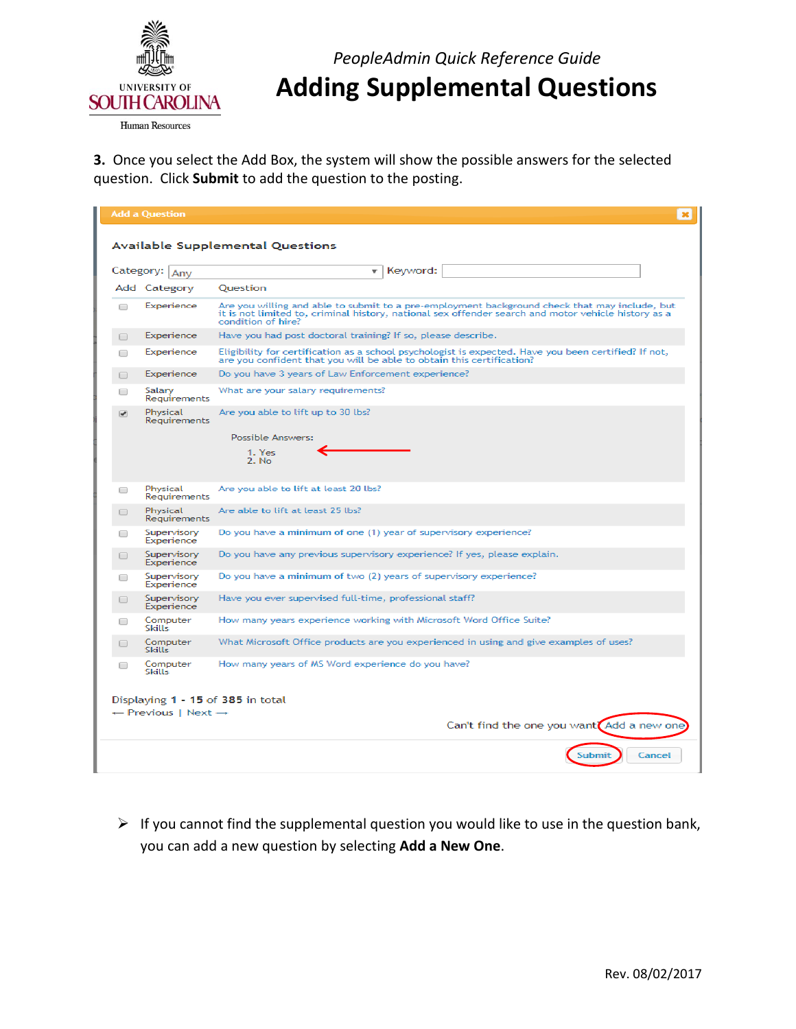

*PeopleAdmin Quick Reference Guide*  **Adding Supplemental Questions** 

 **3.** Once you select the Add Box, the system will show the possible answers for the selected question. Click **Submit** to add the question to the posting.

|                          | <b>Add a Question</b>                      |                                                                                                                                                                                                                            |
|--------------------------|--------------------------------------------|----------------------------------------------------------------------------------------------------------------------------------------------------------------------------------------------------------------------------|
|                          |                                            |                                                                                                                                                                                                                            |
|                          |                                            | <b>Available Supplemental Questions</b>                                                                                                                                                                                    |
|                          | Category: Any                              | Keyword:<br>$\mathbf{v}$                                                                                                                                                                                                   |
|                          | Add Category                               | Ouestion                                                                                                                                                                                                                   |
| □                        | Experience                                 | Are you willing and able to submit to a pre-employment background check that may include, but<br>it is not limited to, criminal history, national sex offender search and motor vehicle history as a<br>condition of hire? |
| □                        | Experience                                 | Have you had post doctoral training? If so, please describe.                                                                                                                                                               |
| □                        | Experience                                 | Eligibility for certification as a school psychologist is expected. Have you been certified? If not,<br>are you confident that you will be able to obtain this certification?                                              |
| $\Box$                   | Experience                                 | Do you have 3 years of Law Enforcement experience?                                                                                                                                                                         |
| □                        | Salary<br>Requirements                     | What are your salary requirements?                                                                                                                                                                                         |
| $\overline{\mathcal{L}}$ | Physical<br>Requirements                   | Are you able to lift up to 30 lbs?                                                                                                                                                                                         |
|                          |                                            | Possible Answers:                                                                                                                                                                                                          |
|                          |                                            | 1. Yes<br>$2.$ No.                                                                                                                                                                                                         |
| □                        | Physical<br>Requirements                   | Are you able to lift at least 20 lbs?                                                                                                                                                                                      |
|                          | Physical<br>Requirements                   | Are able to lift at least 25 lbs?                                                                                                                                                                                          |
|                          | Supervisory<br>Experience                  | Do you have a minimum of one (1) year of supervisory experience?                                                                                                                                                           |
|                          | Supervisory<br>Experience                  | Do you have any previous supervisory experience? If yes, please explain.                                                                                                                                                   |
| □                        | Supervisory<br>Experience                  | Do you have a minimum of two (2) years of supervisory experience?                                                                                                                                                          |
|                          | Supervisory<br>Experience                  | Have you ever supervised full-time, professional staff?                                                                                                                                                                    |
| □                        | Computer<br>Skills                         | How many years experience working with Microsoft Word Office Suite?                                                                                                                                                        |
|                          | Computer<br><b>Skills</b>                  | What Microsoft Office products are you experienced in using and give examples of uses?                                                                                                                                     |
|                          | Computer<br>Skills                         | How many years of MS Word experience do you have?                                                                                                                                                                          |
|                          |                                            |                                                                                                                                                                                                                            |
|                          | $\leftarrow$ Previous   Next $\rightarrow$ | Displaying 1 - 15 of 385 in total                                                                                                                                                                                          |
|                          |                                            | Can't find the one you want <sup>7</sup> Add a new one                                                                                                                                                                     |
|                          |                                            | Cancel<br>ubmi                                                                                                                                                                                                             |

 $\triangleright$  If you cannot find the supplemental question you would like to use in the question bank, you can add a new question by selecting **Add a New One**.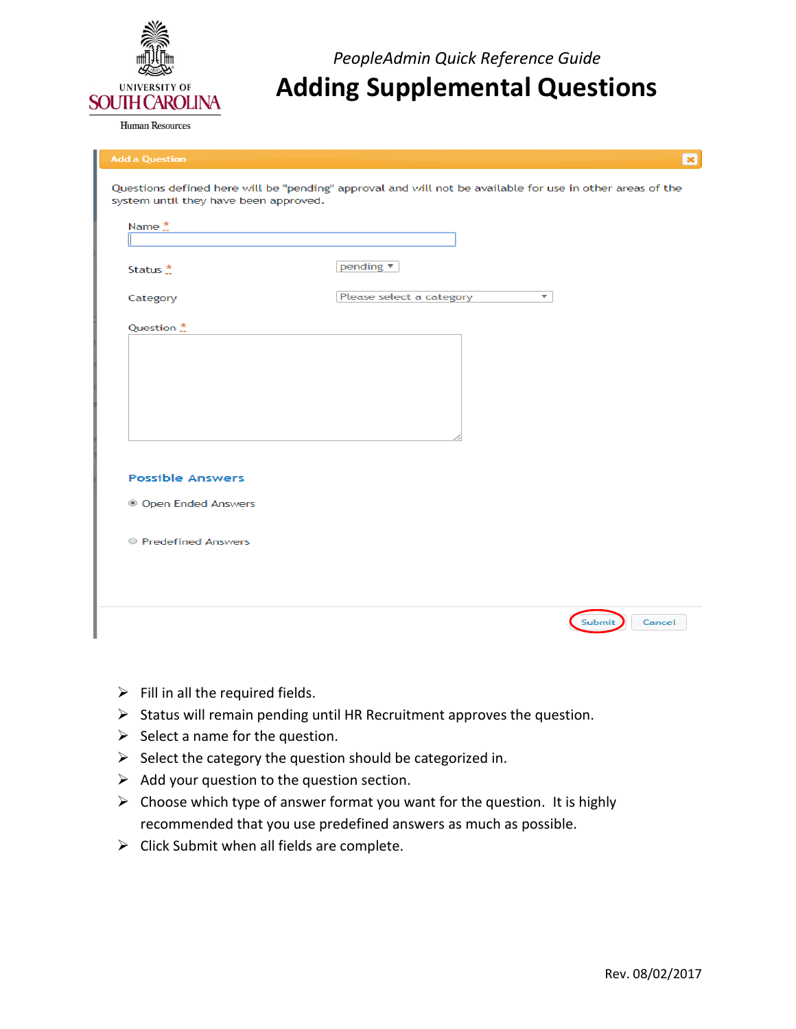

**Human Resources** 

*PeopleAdmin Quick Reference Guide*  **Adding Supplemental Questions** 

| <b>Add a Question</b>                 | $\infty$                                                                                                  |
|---------------------------------------|-----------------------------------------------------------------------------------------------------------|
| system until they have been approved. | Questions defined here will be "pending" approval and will not be available for use in other areas of the |
| Name $\stackrel{*}{\ldots}$           |                                                                                                           |
|                                       |                                                                                                           |
| Status <sup>*</sup>                   | pending $\Psi$                                                                                            |
| Category                              | Please select a category<br>$\overline{\mathbf{v}}$                                                       |
| Question *                            |                                                                                                           |
|                                       |                                                                                                           |
|                                       |                                                                                                           |
|                                       |                                                                                                           |
|                                       |                                                                                                           |
|                                       |                                                                                                           |
|                                       |                                                                                                           |
| <b>Possible Answers</b>               |                                                                                                           |
| <sup>3</sup> Open Ended Answers       |                                                                                                           |
| Redefined Answers                     |                                                                                                           |
|                                       |                                                                                                           |
|                                       |                                                                                                           |
|                                       |                                                                                                           |
|                                       | Cancel<br>Submit                                                                                          |

- $\triangleright$  Fill in all the required fields.
- $\triangleright$  Status will remain pending until HR Recruitment approves the question.
- $\triangleright$  Select a name for the question.
- $\triangleright$  Select the category the question should be categorized in.
- $\triangleright$  Add your question to the question section.
- $\triangleright$  Choose which type of answer format you want for the question. It is highly recommended that you use predefined answers as much as possible.
- $\triangleright$  Click Submit when all fields are complete.